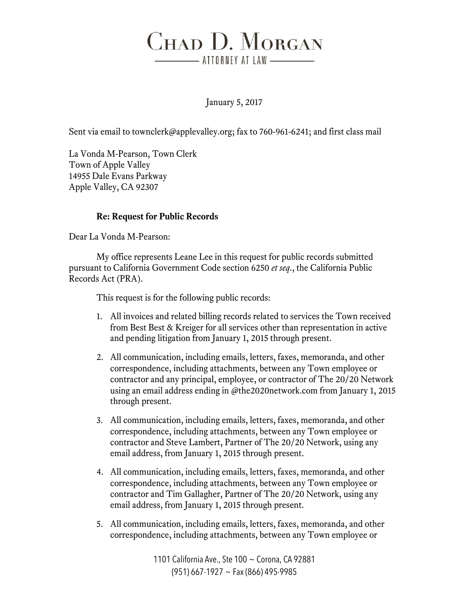## CHAD D. MORGAN \_\_\_\_\_\_\_\_ ATTORNEY AT LAW \_\_\_\_\_\_\_\_\_

January 5, 2017

Sent via email to townclerk@applevalley.org; fax to 760-961-6241; and first class mail

La Vonda M-Pearson, Town Clerk Town of Apple Valley 14955 Dale Evans Parkway Apple Valley, CA 92307

## **Re: Request for Public Records**

Dear La Vonda M-Pearson:

My office represents Leane Lee in this request for public records submitted pursuant to California Government Code section 6250 *et seq*., the California Public Records Act (PRA).

This request is for the following public records:

- 1. All invoices and related billing records related to services the Town received from Best Best & Kreiger for all services other than representation in active and pending litigation from January 1, 2015 through present.
- 2. All communication, including emails, letters, faxes, memoranda, and other correspondence, including attachments, between any Town employee or contractor and any principal, employee, or contractor of The 20/20 Network using an email address ending in @the2020network.com from January 1, 2015 through present.
- 3. All communication, including emails, letters, faxes, memoranda, and other correspondence, including attachments, between any Town employee or contractor and Steve Lambert, Partner of The 20/20 Network, using any email address, from January 1, 2015 through present.
- 4. All communication, including emails, letters, faxes, memoranda, and other correspondence, including attachments, between any Town employee or contractor and Tim Gallagher, Partner of The 20/20 Network, using any email address, from January 1, 2015 through present.
- 5. All communication, including emails, letters, faxes, memoranda, and other correspondence, including attachments, between any Town employee or

1101 California Ave., Ste 100 ~ Corona, CA 92881 (951) 667-1927 ~ Fax (866) 495-9985